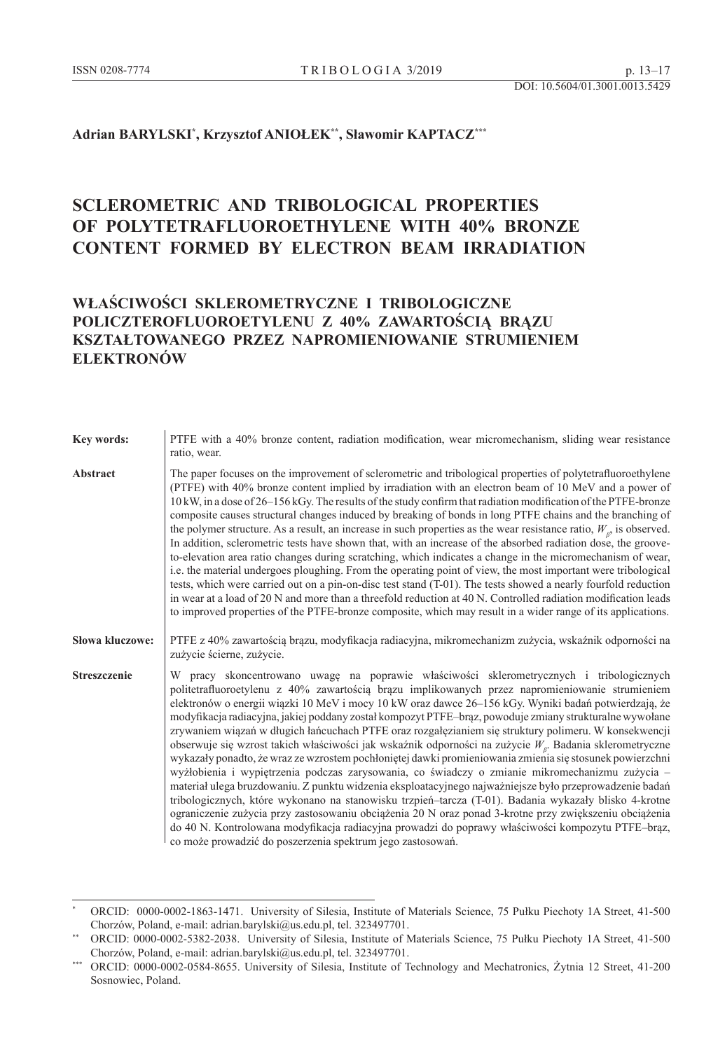### **Adrian BARYLSKI\* , Krzysztof ANIOŁEK\*\*, Sławomir KAPTACZ\*\*\***

# **SCLEROMETRIC AND TRIBOLOGICAL PROPERTIES OF POLYTETRAFLUOROETHYLENE WITH 40% BRONZE CONTENT FORMED BY ELECTRON BEAM IRRADIATION**

## **WŁAŚCIWOŚCI SKLEROMETRYCZNE I TRIBOLOGICZNE POLICZTEROFLUOROETYLENU Z 40% ZAWARTOŚCIĄ BRĄZU KSZTAŁTOWANEGO PRZEZ NAPROMIENIOWANIE STRUMIENIEM ELEKTRONÓW**

| Key words:             | PTFE with a 40% bronze content, radiation modification, wear micromechanism, sliding wear resistance<br>ratio, wear.                                                                                                                                                                                                                                                                                                                                                                                                                                                                                                                                                                                                                                                                                                                                                                                                                                                                                                                                                                                                                                                                                                                                                                                                                                        |
|------------------------|-------------------------------------------------------------------------------------------------------------------------------------------------------------------------------------------------------------------------------------------------------------------------------------------------------------------------------------------------------------------------------------------------------------------------------------------------------------------------------------------------------------------------------------------------------------------------------------------------------------------------------------------------------------------------------------------------------------------------------------------------------------------------------------------------------------------------------------------------------------------------------------------------------------------------------------------------------------------------------------------------------------------------------------------------------------------------------------------------------------------------------------------------------------------------------------------------------------------------------------------------------------------------------------------------------------------------------------------------------------|
| Abstract               | The paper focuses on the improvement of sclerometric and tribological properties of polytetrafluoroethylene<br>(PTFE) with 40% bronze content implied by irradiation with an electron beam of 10 MeV and a power of<br>10 kW, in a dose of 26–156 kGy. The results of the study confirm that radiation modification of the PTFE-bronze<br>composite causes structural changes induced by breaking of bonds in long PTFE chains and the branching of<br>the polymer structure. As a result, an increase in such properties as the wear resistance ratio, $W_{\rho}$ is observed.<br>In addition, sclerometric tests have shown that, with an increase of the absorbed radiation dose, the groove-<br>to-elevation area ratio changes during scratching, which indicates a change in the micromechanism of wear,<br>i.e. the material undergoes ploughing. From the operating point of view, the most important were tribological<br>tests, which were carried out on a pin-on-disc test stand (T-01). The tests showed a nearly fourfold reduction<br>in wear at a load of 20 N and more than a threefold reduction at 40 N. Controlled radiation modification leads<br>to improved properties of the PTFE-bronze composite, which may result in a wider range of its applications.                                                                          |
| <b>Słowa kluczowe:</b> | PTFE z 40% zawartością brązu, modyfikacja radiacyjna, mikromechanizm zużycia, wskaźnik odporności na<br>zużycie ścierne, zużycie.                                                                                                                                                                                                                                                                                                                                                                                                                                                                                                                                                                                                                                                                                                                                                                                                                                                                                                                                                                                                                                                                                                                                                                                                                           |
| <b>Streszczenie</b>    | W pracy skoncentrowano uwagę na poprawie właściwości sklerometrycznych i tribologicznych<br>politetrafluoroetylenu z 40% zawartością brązu implikowanych przez napromieniowanie strumieniem<br>elektronów o energii wiązki 10 MeV i mocy 10 kW oraz dawce 26–156 kGy. Wyniki badań potwierdzają, że<br>modyfikacja radiacyjna, jakiej poddany został kompozyt PTFE-brąz, powoduje zmiany strukturalne wywołane<br>zrywaniem wiązań w długich łańcuchach PTFE oraz rozgałęzianiem się struktury polimeru. W konsekwencji<br>obserwuje się wzrost takich właściwości jak wskaźnik odporności na zużycie $W_{\beta}$ . Badania sklerometryczne<br>wykazały ponadto, że wraz ze wzrostem pochłoniętej dawki promieniowania zmienia się stosunek powierzchni<br>wyżłobienia i wypiętrzenia podczas zarysowania, co świadczy o zmianie mikromechanizmu zużycia -<br>materiał ulega bruzdowaniu. Z punktu widzenia eksploatacyjnego najważniejsze było przeprowadzenie badań<br>tribologicznych, które wykonano na stanowisku trzpień-tarcza (T-01). Badania wykazały blisko 4-krotne<br>ograniczenie zużycia przy zastosowaniu obciążenia 20 N oraz ponad 3-krotne przy zwiększeniu obciążenia<br>do 40 N. Kontrolowana modyfikacja radiacyjna prowadzi do poprawy właściwości kompozytu PTFE–brąz,<br>co może prowadzić do poszerzenia spektrum jego zastosowań. |

ORCID: 0000-0002-1863-1471. University of Silesia, Institute of Materials Science, 75 Pułku Piechoty 1A Street, 41-500 Chorzów, Poland, e-mail: adrian.barylski@us.edu.pl, tel. 323497701.

<sup>\*\*</sup> ORCID: 0000-0002-5382-2038. University of Silesia, Institute of Materials Science, 75 Pułku Piechoty 1A Street, 41-500 Chorzów, Poland, e-mail: adrian.barylski@us.edu.pl, tel. 323497701.

<sup>\*\*\*</sup> ORCID: 0000-0002-0584-8655. University of Silesia, Institute of Technology and Mechatronics, Żytnia 12 Street, 41-200 Sosnowiec, Poland.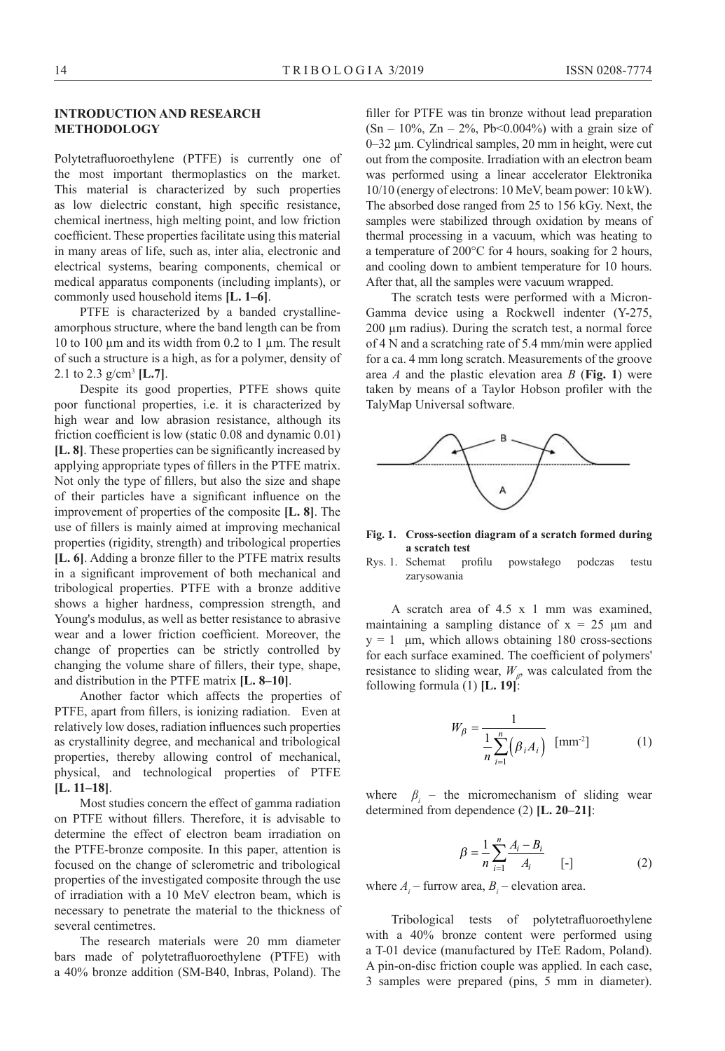#### **INTRODUCTION AND RESEARCH METHODOLOGY**

Polytetrafluoroethylene (PTFE) is currently one of the most important thermoplastics on the market. This material is characterized by such properties as low dielectric constant, high specific resistance, chemical inertness, high melting point, and low friction coefficient. These properties facilitate using this material in many areas of life, such as, inter alia, electronic and electrical systems, bearing components, chemical or medical apparatus components (including implants), or commonly used household items **[L. 1–6]**.

PTFE is characterized by a banded crystallineamorphous structure, where the band length can be from 10 to 100 um and its width from 0.2 to 1 um. The result of such a structure is a high, as for a polymer, density of 2.1 to 2.3 g/cm<sup>3</sup> **[L.7]**.

Despite its good properties, PTFE shows quite poor functional properties, i.e. it is characterized by high wear and low abrasion resistance, although its friction coefficient is low (static 0.08 and dynamic 0.01) **[L. 8]**. These properties can be significantly increased by applying appropriate types of fillers in the PTFE matrix. Not only the type of fillers, but also the size and shape of their particles have a significant influence on the improvement of properties of the composite **[L. 8]**. The use of fillers is mainly aimed at improving mechanical properties (rigidity, strength) and tribological properties **[L. 6]**. Adding a bronze filler to the PTFE matrix results in a significant improvement of both mechanical and tribological properties. PTFE with a bronze additive shows a higher hardness, compression strength, and Young's modulus, as well as better resistance to abrasive wear and a lower friction coefficient. Moreover, the change of properties can be strictly controlled by changing the volume share of fillers, their type, shape, and distribution in the PTFE matrix **[L. 8–10]**.

Another factor which affects the properties of PTFE, apart from fillers, is ionizing radiation. Even at relatively low doses, radiation influences such properties as crystallinity degree, and mechanical and tribological properties, thereby allowing control of mechanical, physical, and technological properties of PTFE **[L. 11–18]**.

Most studies concern the effect of gamma radiation on PTFE without fillers. Therefore, it is advisable to determine the effect of electron beam irradiation on the PTFE-bronze composite. In this paper, attention is focused on the change of sclerometric and tribological properties of the investigated composite through the use of irradiation with a 10 MeV electron beam, which is necessary to penetrate the material to the thickness of several centimetres.

The research materials were 20 mm diameter bars made of polytetrafluoroethylene (PTFE) with a 40% bronze addition (SM-B40, Inbras, Poland). The filler for PTFE was tin bronze without lead preparation  $(Sn - 10\%, Zn - 2\%, Pb<0.004\%)$  with a grain size of 0–32 µm. Cylindrical samples, 20 mm in height, were cut out from the composite. Irradiation with an electron beam was performed using a linear accelerator Elektronika 10/10 (energy of electrons: 10 MeV, beam power: 10 kW). The absorbed dose ranged from 25 to 156 kGy. Next, the samples were stabilized through oxidation by means of thermal processing in a vacuum, which was heating to a temperature of 200°C for 4 hours, soaking for 2 hours, and cooling down to ambient temperature for 10 hours. After that, all the samples were vacuum wrapped.

The scratch tests were performed with a Micron-Gamma device using a Rockwell indenter (Y-275, 200 µm radius). During the scratch test, a normal force of 4 N and a scratching rate of 5.4 mm/min were applied for a ca. 4 mm long scratch. Measurements of the groove area *A* and the plastic elevation area *B* (**Fig. 1**) were taken by means of a Taylor Hobson profiler with the TalyMap Universal software.



**Fig. 1. Cross-section diagram of a scratch formed during a scratch test** 

Rys. 1. Schemat profilu powstałego podczas testu zarysowania

A scratch area of 4.5 x 1 mm was examined, maintaining a sampling distance of  $x = 25 \mu m$  and  $y = 1$  μm, which allows obtaining 180 cross-sections for each surface examined. The coefficient of polymers' resistance to sliding wear,  $W_{\beta}$ , was calculated from the following formula (1) **[L. 19]**:

$$
W_{\beta} = \frac{1}{\frac{1}{n} \sum_{i=1}^{n} (\beta_i A_i)} \text{ [mm-2]} \tag{1}
$$

where  $\beta_i$  – the micromechanism of sliding wear determined from dependence (2) **[L. 20–21]**:

$$
\beta = \frac{1}{n} \sum_{i=1}^{n} \frac{A_i - B_i}{A_i} \qquad [-]
$$
 (2)

where  $A_i$  – furrow area,  $B_i$  – elevation area.

Tribological tests of polytetrafluoroethylene with a 40% bronze content were performed using a T-01 device (manufactured by ITeE Radom, Poland). A pin-on-disc friction couple was applied. In each case, 3 samples were prepared (pins, 5 mm in diameter).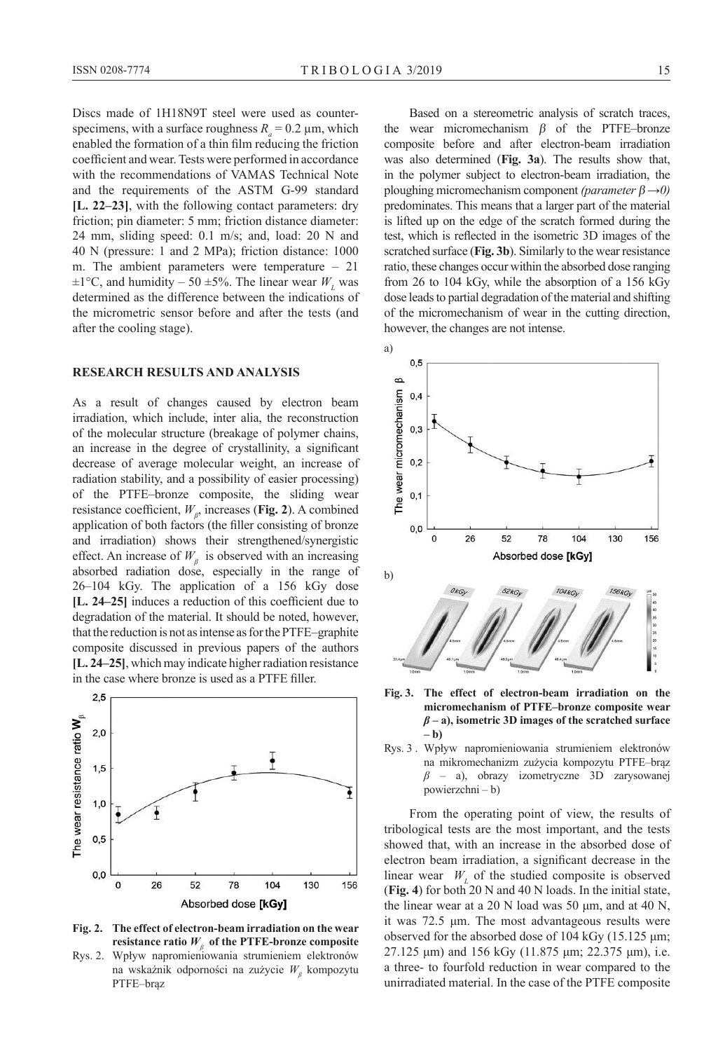Discs made of 1H18N9T steel were used as counterspecimens, with a surface roughness  $R = 0.2 \mu m$ , which enabled the formation of a thin film reducing the friction coefficient and wear. Tests were performed in accordance with the recommendations of VAMAS Technical Note and the requirements of the ASTM G-99 standard **[L. 22–23]**, with the following contact parameters: dry friction; pin diameter: 5 mm; friction distance diameter: 24 mm, sliding speed: 0.1 m/s; and, load: 20 N and 40 N (pressure: 1 and 2 MPa); friction distance: 1000 m. The ambient parameters were temperature – 21  $\pm 1^{\circ}$ C, and humidity – 50  $\pm 5\%$ . The linear wear  $W<sub>L</sub>$  was determined as the difference between the indications of the micrometric sensor before and after the tests (and after the cooling stage).

#### **RESEARCH RESULTS AND ANALYSIS**

As a result of changes caused by electron beam irradiation, which include, inter alia, the reconstruction of the molecular structure (breakage of polymer chains, an increase in the degree of crystallinity, a significant decrease of average molecular weight, an increase of radiation stability, and a possibility of easier processing) of the PTFE–bronze composite, the sliding wear resistance coefficient, *W<sup>β</sup>* , increases (**Fig. 2**). A combined application of both factors (the filler consisting of bronze and irradiation) shows their strengthened/synergistic effect. An increase of  $W_\beta$  is observed with an increasing absorbed radiation dose, especially in the range of 26–104 kGy. The application of a 156 kGy dose **[L. 24–25]** induces a reduction of this coefficient due to degradation of the material. It should be noted, however, that the reduction is not as intense as for the PTFE–graphite composite discussed in previous papers of the authors **[L. 24–25]**, which may indicate higher radiation resistance in the case where bronze is used as a PTFE filler.



**Fig. 2. The effect of electron-beam irradiation on the wear resistance ratio**  $W$ **<sup>β</sup> of the PTFE-bronze composite** 

Rys. 2. Wpływ napromieniowania strumieniem elektronów na wskaźnik odporności na zużycie *W<sup>β</sup>* kompozytu PTFE–brąz

Based on a stereometric analysis of scratch traces, the wear micromechanism  $\beta$  of the PTFE–bronze composite before and after electron-beam irradiation was also determined (**Fig. 3a**). The results show that, in the polymer subject to electron-beam irradiation, the ploughing micromechanism component *(parameter* β *→0)* predominates. This means that a larger part of the material is lifted up on the edge of the scratch formed during the test, which is reflected in the isometric 3D images of the scratched surface (**Fig. 3b**). Similarly to the wear resistance ratio, these changes occur within the absorbed dose ranging from 26 to 104 kGy, while the absorption of a 156 kGy dose leads to partial degradation of the material and shifting of the micromechanism of wear in the cutting direction, however, the changes are not intense.



**Fig. 3. The effect of electron-beam irradiation on the micromechanism of PTFE–bronze composite wear**  *β* **– a), isometric 3D images of the scratched surface – b)**

Rys. 3 . Wpływ napromieniowania strumieniem elektronów na mikromechanizm zużycia kompozytu PTFE–brąz *β* – a), obrazy izometryczne 3D zarysowanej powierzchni – b)

From the operating point of view, the results of tribological tests are the most important, and the tests showed that, with an increase in the absorbed dose of electron beam irradiation, a significant decrease in the linear wear  $W<sub>L</sub>$  of the studied composite is observed (**Fig. 4**) for both 20 N and 40 N loads. In the initial state, the linear wear at a 20 N load was 50  $\mu$ m, and at 40 N, it was 72.5 μm. The most advantageous results were observed for the absorbed dose of 104 kGy (15.125 μm; 27.125 μm) and 156 kGy (11.875 μm; 22.375 μm), i.e. a three- to fourfold reduction in wear compared to the unirradiated material. In the case of the PTFE composite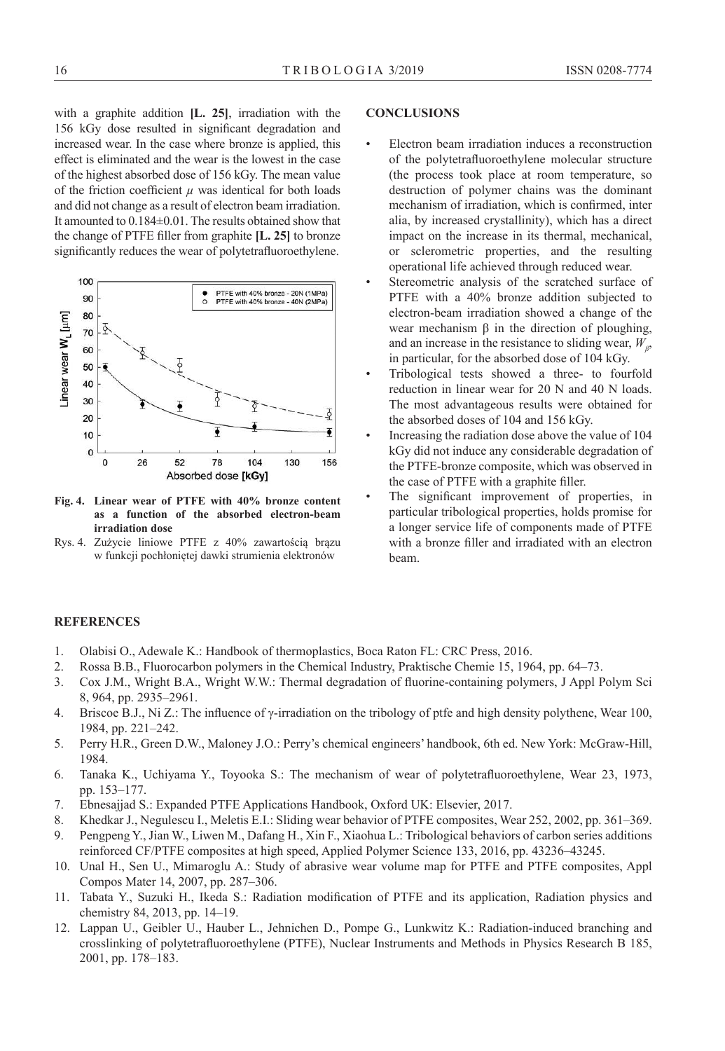with a graphite addition **[L. 25]**, irradiation with the 156 kGy dose resulted in significant degradation and increased wear. In the case where bronze is applied, this effect is eliminated and the wear is the lowest in the case of the highest absorbed dose of 156 kGy. The mean value of the friction coefficient  $\mu$  was identical for both loads and did not change as a result of electron beam irradiation. It amounted to 0.184±0.01. The results obtained show that the change of PTFE filler from graphite **[L. 25]** to bronze significantly reduces the wear of polytetrafluoroethylene.



**Fig. 4. Linear wear of PTFE with 40% bronze content as a function of the absorbed electron-beam irradiation dose**

Rys. 4. Zużycie liniowe PTFE z 40% zawartością brązu w funkcji pochłoniętej dawki strumienia elektronów

#### **CONCLUSIONS**

- Electron beam irradiation induces a reconstruction of the polytetrafluoroethylene molecular structure (the process took place at room temperature, so destruction of polymer chains was the dominant mechanism of irradiation, which is confirmed, inter alia, by increased crystallinity), which has a direct impact on the increase in its thermal, mechanical, or sclerometric properties, and the resulting operational life achieved through reduced wear.
- Stereometric analysis of the scratched surface of PTFE with a 40% bronze addition subjected to electron-beam irradiation showed a change of the wear mechanism  $β$  in the direction of ploughing, and an increase in the resistance to sliding wear,  $W_{\beta}$ , in particular, for the absorbed dose of 104 kGy.
- Tribological tests showed a three- to fourfold reduction in linear wear for 20 N and 40 N loads. The most advantageous results were obtained for the absorbed doses of 104 and 156 kGy.
- Increasing the radiation dose above the value of 104 kGy did not induce any considerable degradation of the PTFE-bronze composite, which was observed in the case of PTFE with a graphite filler.
- The significant improvement of properties, in particular tribological properties, holds promise for a longer service life of components made of PTFE with a bronze filler and irradiated with an electron beam.

#### **REFERENCES**

- 1. Olabisi O., Adewale K.: Handbook of thermoplastics, Boca Raton FL: CRC Press, 2016.
- 2. Rossa B.B., Fluorocarbon polymers in the Chemical Industry, Praktische Chemie 15, 1964, pp. 64–73.
- 3. Cox J.M., Wright B.A., Wright W.W.: Thermal degradation of fluorine-containing polymers, J Appl Polym Sci 8, 964, pp. 2935–2961.
- 4. Briscoe B.J., Ni Z.: The influence of γ-irradiation on the tribology of ptfe and high density polythene, Wear 100, 1984, pp. 221–242.
- 5. Perry H.R., Green D.W., Maloney J.O.: Perry's chemical engineers' handbook, 6th ed. New York: McGraw-Hill, 1984.
- 6. Tanaka K., Uchiyama Y., Toyooka S.: The mechanism of wear of polytetrafluoroethylene, Wear 23, 1973, pp. 153–177.
- 7. Ebnesajjad S.: Expanded PTFE Applications Handbook, Oxford UK: Elsevier, 2017.
- 8. Khedkar J., Negulescu I., Meletis E.I.: Sliding wear behavior of PTFE composites, Wear 252, 2002, pp. 361–369.
- 9. Pengpeng Y., Jian W., Liwen M., Dafang H., Xin F., Xiaohua L.: Tribological behaviors of carbon series additions reinforced CF/PTFE composites at high speed, Applied Polymer Science 133, 2016, pp. 43236–43245.
- 10. Unal H., Sen U., Mimaroglu A.: Study of abrasive wear volume map for PTFE and PTFE composites, Appl Compos Mater 14, 2007, pp. 287–306.
- 11. Tabata Y., Suzuki H., Ikeda S.: Radiation modification of PTFE and its application, Radiation physics and chemistry 84, 2013, pp. 14–19.
- 12. Lappan U., Geibler U., Hauber L., Jehnichen D., Pompe G., Lunkwitz K.: Radiation-induced branching and crosslinking of polytetrafluoroethylene (PTFE), Nuclear Instruments and Methods in Physics Research B 185, 2001, pp. 178–183.